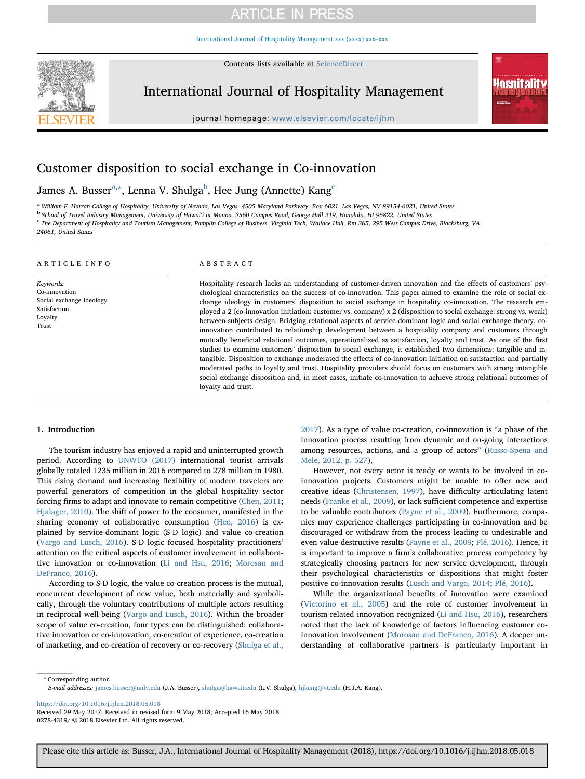[International Journal of Hospitality Management xxx \(xxxx\) xxx–xxx](https://doi.org/10.1016/j.ijhm.2018.05.018)

Contents lists available at [ScienceDirect](http://www.sciencedirect.com/science/journal/02784319)



International Journal of Hospitality Management



journal homepage: [www.elsevier.com/locate/ijhm](https://www.elsevier.com/locate/ijhm)

# Customer disposition to social exchange in Co-innovation

James A. Busser $a^a$ , $\bar{b}$  $\bar{b}$  $\bar{b}$ , Lenna V. Shulga $b$ , Hee Jung (Annette) Kang $^c$  $^c$ 

<span id="page-0-0"></span>a William F. Harrah College of Hospitality, University of Nevada, Las Vegas, 4505 Maryland Parkway, Box 6021, Las Vegas, NV 89154-6021, United States

<span id="page-0-2"></span><sup>b</sup> School of Travel Industry Management, University of Hawaiʻi at Mānoa, 2560 Campus Road, George Hall 219, Honolulu, HI 96822, United States

<span id="page-0-3"></span><sup>c</sup> The Department of Hospitality and Tourism Management, Pamplin College of Business, Virginia Tech, Wallace Hall, Rm 365, 295 West Campus Drive, Blacksburg, VA 24061, United States

# ARTICLE INFO

Keywords: Co-innovation Social exchange ideology Satisfaction Loyalty Trust

# ABSTRACT

Hospitality research lacks an understanding of customer-driven innovation and the effects of customers' psychological characteristics on the success of co-innovation. This paper aimed to examine the role of social exchange ideology in customers' disposition to social exchange in hospitality co-innovation. The research employed a 2 (co-innovation initiation: customer vs. company) x 2 (disposition to social exchange: strong vs. weak) between-subjects design. Bridging relational aspects of service-dominant logic and social exchange theory, coinnovation contributed to relationship development between a hospitality company and customers through mutually beneficial relational outcomes, operationalized as satisfaction, loyalty and trust. As one of the first studies to examine customers' disposition to social exchange, it established two dimensions: tangible and intangible. Disposition to exchange moderated the effects of co-innovation initiation on satisfaction and partially moderated paths to loyalty and trust. Hospitality providers should focus on customers with strong intangible social exchange disposition and, in most cases, initiate co-innovation to achieve strong relational outcomes of loyalty and trust.

# 1. Introduction

The tourism industry has enjoyed a rapid and uninterrupted growth period. According to [UNWTO \(2017\)](#page-8-0) international tourist arrivals globally totaled 1235 million in 2016 compared to 278 million in 1980. This rising demand and increasing flexibility of modern travelers are powerful generators of competition in the global hospitality sector forcing firms to adapt and innovate to remain competitive [\(Chen, 2011](#page-8-1); [Hjalager, 2010](#page-8-2)). The shift of power to the consumer, manifested in the sharing economy of collaborative consumption ([Heo, 2016\)](#page-8-3) is explained by service-dominant logic (S-D logic) and value co-creation ([Vargo and Lusch, 2016\)](#page-8-4). S-D logic focused hospitality practitioners' attention on the critical aspects of customer involvement in collaborative innovation or co-innovation [\(Li and Hsu, 2016;](#page-8-5) [Morosan and](#page-8-6) [DeFranco, 2016\)](#page-8-6).

According to S-D logic, the value co-creation process is the mutual, concurrent development of new value, both materially and symbolically, through the voluntary contributions of multiple actors resulting in reciprocal well-being ([Vargo and Lusch, 2016\)](#page-8-4). Within the broader scope of value co-creation, four types can be distinguished: collaborative innovation or co-innovation, co-creation of experience, co-creation of marketing, and co-creation of recovery or co-recovery ([Shulga et al.,](#page-8-7)

[2017\)](#page-8-7). As a type of value co-creation, co-innovation is "a phase of the innovation process resulting from dynamic and on-going interactions among resources, actions, and a group of actors" ([Russo-Spena and](#page-8-8) [Mele, 2012, p. 527](#page-8-8)),

However, not every actor is ready or wants to be involved in coinnovation projects. Customers might be unable to offer new and creative ideas ([Christensen, 1997\)](#page-8-9), have difficulty articulating latent needs ([Franke et al., 2009](#page-8-10)), or lack sufficient competence and expertise to be valuable contributors [\(Payne et al., 2009](#page-8-11)). Furthermore, companies may experience challenges participating in co-innovation and be discouraged or withdraw from the process leading to undesirable and even value-destructive results ([Payne et al., 2009](#page-8-11); [Plé, 2016](#page-8-12)). Hence, it is important to improve a firm's collaborative process competency by strategically choosing partners for new service development, through their psychological characteristics or dispositions that might foster positive co-innovation results ([Lusch and Vargo, 2014](#page-8-13); [Plé, 2016\)](#page-8-12).

While the organizational benefits of innovation were examined ([Victorino et al., 2005\)](#page-8-14) and the role of customer involvement in tourism-related innovation recognized [\(Li and Hsu, 2016\)](#page-8-5), researchers noted that the lack of knowledge of factors influencing customer coinnovation involvement (Morosan [and DeFranco, 2016](#page-8-6)). A deeper understanding of collaborative partners is particularly important in

<span id="page-0-1"></span>⁎ Corresponding author.

E-mail addresses: [james.busser@unlv.edu](mailto:james.busser@unlv.edu) (J.A. Busser), [shulga@hawaii.edu](mailto:shulga@hawaii.edu) (L.V. Shulga), [hjkang@vt.edu](mailto:hjkang@vt.edu) (H.J.A. Kang).

<https://doi.org/10.1016/j.ijhm.2018.05.018>

Received 29 May 2017; Received in revised form 9 May 2018; Accepted 16 May 2018 0278-4319/ © 2018 Elsevier Ltd. All rights reserved.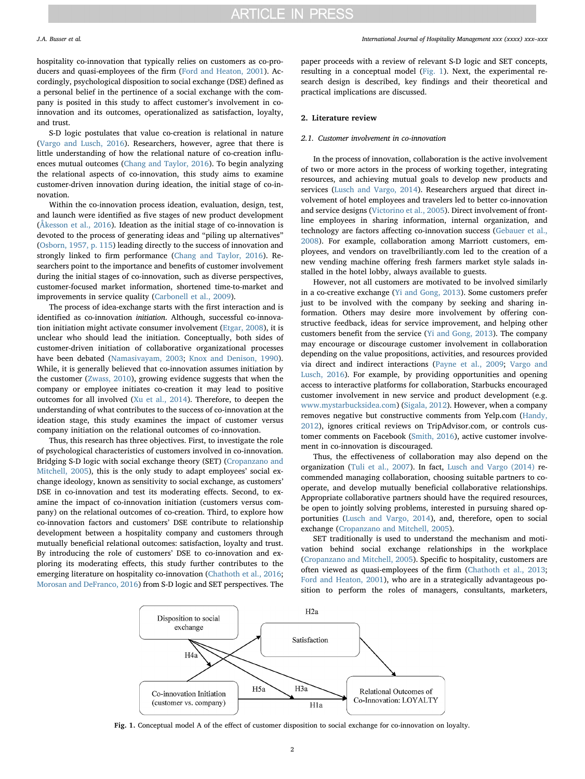hospitality co-innovation that typically relies on customers as co-producers and quasi-employees of the firm [\(Ford and Heaton, 2001\)](#page-8-15). Accordingly, psychological disposition to social exchange (DSE) defined as a personal belief in the pertinence of a social exchange with the company is posited in this study to affect customer's involvement in coinnovation and its outcomes, operationalized as satisfaction, loyalty, and trust.

S-D logic postulates that value co-creation is relational in nature ([Vargo and Lusch, 2016\)](#page-8-4). Researchers, however, agree that there is little understanding of how the relational nature of co-creation influences mutual outcomes [\(Chang and Taylor, 2016\)](#page-7-0). To begin analyzing the relational aspects of co-innovation, this study aims to examine customer-driven innovation during ideation, the initial stage of co-innovation.

Within the co-innovation process ideation, evaluation, design, test, and launch were identified as five stages of new product development ([Åkesson et al., 2016](#page-7-1)). Ideation as the initial stage of co-innovation is devoted to the process of generating ideas and "piling up alternatives" ([Osborn, 1957, p. 115\)](#page-8-16) leading directly to the success of innovation and strongly linked to firm performance ([Chang and Taylor, 2016\)](#page-7-0). Researchers point to the importance and benefits of customer involvement during the initial stages of co-innovation, such as diverse perspectives, customer-focused market information, shortened time-to-market and improvements in service quality ([Carbonell et al., 2009](#page-7-2)).

The process of idea-exchange starts with the first interaction and is identified as co-innovation initiation. Although, successful co-innovation initiation might activate consumer involvement [\(Etgar, 2008](#page-8-17)), it is unclear who should lead the initiation. Conceptually, both sides of customer-driven initiation of collaborative organizational processes have been debated [\(Namasivayam, 2003;](#page-8-18) [Knox and Denison, 1990](#page-8-19)). While, it is generally believed that co-innovation assumes initiation by the customer [\(Zwass, 2010\)](#page-8-20), growing evidence suggests that when the company or employee initiates co-creation it may lead to positive outcomes for all involved [\(Xu et al., 2014\)](#page-8-21). Therefore, to deepen the understanding of what contributes to the success of co-innovation at the ideation stage, this study examines the impact of customer versus company initiation on the relational outcomes of co-innovation.

Thus, this research has three objectives. First, to investigate the role of psychological characteristics of customers involved in co-innovation. Bridging S-D logic with social exchange theory (SET) [\(Cropanzano and](#page-8-22) [Mitchell, 2005](#page-8-22)), this is the only study to adapt employees' social exchange ideology, known as sensitivity to social exchange, as customers' DSE in co-innovation and test its moderating effects. Second, to examine the impact of co-innovation initiation (customers versus company) on the relational outcomes of co-creation. Third, to explore how co-innovation factors and customers' DSE contribute to relationship development between a hospitality company and customers through mutually beneficial relational outcomes: satisfaction, loyalty and trust. By introducing the role of customers' DSE to co-innovation and exploring its moderating effects, this study further contributes to the emerging literature on hospitality co-innovation [\(Chathoth et al., 2016](#page-7-3); [Morosan and DeFranco, 2016\)](#page-8-6) from S-D logic and SET perspectives. The

paper proceeds with a review of relevant S-D logic and SET concepts, resulting in a conceptual model [\(Fig. 1\)](#page-1-0). Next, the experimental research design is described, key findings and their theoretical and practical implications are discussed.

# 2. Literature review

# 2.1. Customer involvement in co-innovation

In the process of innovation, collaboration is the active involvement of two or more actors in the process of working together, integrating resources, and achieving mutual goals to develop new products and services ([Lusch and Vargo, 2014](#page-8-13)). Researchers argued that direct involvement of hotel employees and travelers led to better co-innovation and service designs ([Victorino et al., 2005\)](#page-8-14). Direct involvement of frontline employees in sharing information, internal organization, and technology are factors affecting co-innovation success [\(Gebauer et al.,](#page-8-23) [2008\)](#page-8-23). For example, collaboration among Marriott customers, employees, and vendors on travelbriliantly.com led to the creation of a new vending machine offering fresh farmers market style salads installed in the hotel lobby, always available to guests.

However, not all customers are motivated to be involved similarly in a co-creative exchange [\(Yi and Gong, 2013](#page-8-24)). Some customers prefer just to be involved with the company by seeking and sharing information. Others may desire more involvement by offering constructive feedback, ideas for service improvement, and helping other customers benefit from the service ([Yi and Gong, 2013\)](#page-8-24). The company may encourage or discourage customer involvement in collaboration depending on the value propositions, activities, and resources provided via direct and indirect interactions ([Payne et al., 2009;](#page-8-11) [Vargo and](#page-8-4) [Lusch, 2016\)](#page-8-4). For example, by providing opportunities and opening access to interactive platforms for collaboration, Starbucks encouraged customer involvement in new service and product development (e.g. [www.mystarbucksidea.com\)](http://www.mystarbucksidea.com) ([Sigala, 2012](#page-8-25)). However, when a company removes negative but constructive comments from Yelp.com [\(Handy,](#page-8-26) [2012\)](#page-8-26), ignores critical reviews on TripAdvisor.com, or controls customer comments on Facebook [\(Smith, 2016\)](#page-8-27), active customer involvement in co-innovation is discouraged.

Thus, the effectiveness of collaboration may also depend on the organization [\(Tuli et al., 2007\)](#page-8-28). In fact, [Lusch and Vargo \(2014\)](#page-8-13) recommended managing collaboration, choosing suitable partners to cooperate, and develop mutually beneficial collaborative relationships. Appropriate collaborative partners should have the required resources, be open to jointly solving problems, interested in pursuing shared opportunities ([Lusch and Vargo, 2014](#page-8-13)), and, therefore, open to social exchange [\(Cropanzano and Mitchell, 2005\)](#page-8-22).

SET traditionally is used to understand the mechanism and motivation behind social exchange relationships in the workplace ([Cropanzano and Mitchell, 2005\)](#page-8-22). Specific to hospitality, customers are often viewed as quasi-employees of the firm ([Chathoth et al., 2013](#page-7-4); [Ford and Heaton, 2001\)](#page-8-15), who are in a strategically advantageous position to perform the roles of managers, consultants, marketers,

<span id="page-1-0"></span>

Fig. 1. Conceptual model A of the effect of customer disposition to social exchange for co-innovation on loyalty.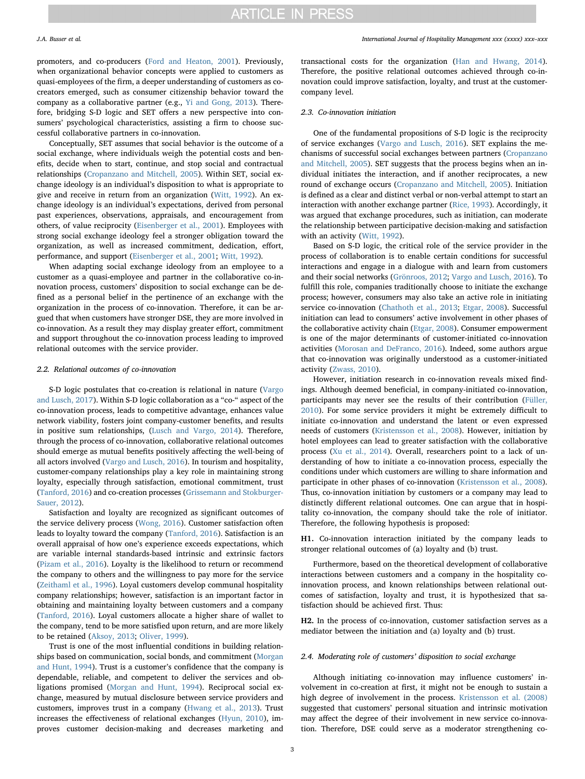promoters, and co-producers [\(Ford and Heaton, 2001\)](#page-8-15). Previously, when organizational behavior concepts were applied to customers as quasi-employees of the firm, a deeper understanding of customers as cocreators emerged, such as consumer citizenship behavior toward the company as a collaborative partner (e.g., [Yi and Gong, 2013\)](#page-8-24). Therefore, bridging S-D logic and SET offers a new perspective into consumers' psychological characteristics, assisting a firm to choose successful collaborative partners in co-innovation.

Conceptually, SET assumes that social behavior is the outcome of a social exchange, where individuals weigh the potential costs and benefits, decide when to start, continue, and stop social and contractual relationships ([Cropanzano and Mitchell, 2005\)](#page-8-22). Within SET, social exchange ideology is an individual's disposition to what is appropriate to give and receive in return from an organization ([Witt, 1992\)](#page-8-29). An exchange ideology is an individual's expectations, derived from personal past experiences, observations, appraisals, and encouragement from others, of value reciprocity ([Eisenberger et al., 2001](#page-8-30)). Employees with strong social exchange ideology feel a stronger obligation toward the organization, as well as increased commitment, dedication, effort, performance, and support [\(Eisenberger et al., 2001;](#page-8-30) [Witt, 1992\)](#page-8-29).

When adapting social exchange ideology from an employee to a customer as a quasi-employee and partner in the collaborative co-innovation process, customers' disposition to social exchange can be defined as a personal belief in the pertinence of an exchange with the organization in the process of co-innovation. Therefore, it can be argued that when customers have stronger DSE, they are more involved in co-innovation. As a result they may display greater effort, commitment and support throughout the co-innovation process leading to improved relational outcomes with the service provider.

# 2.2. Relational outcomes of co-innovation

S-D logic postulates that co-creation is relational in nature ([Vargo](#page-8-31) [and Lusch, 2017\)](#page-8-31). Within S-D logic collaboration as a "co-" aspect of the co-innovation process, leads to competitive advantage, enhances value network viability, fosters joint company-customer benefits, and results in positive sum relationships, ([Lusch and Vargo, 2014\)](#page-8-13). Therefore, through the process of co-innovation, collaborative relational outcomes should emerge as mutual benefits positively affecting the well-being of all actors involved [\(Vargo and Lusch, 2016](#page-8-4)). In tourism and hospitality, customer-company relationships play a key role in maintaining strong loyalty, especially through satisfaction, emotional commitment, trust ([Tanford, 2016\)](#page-8-32) and co-creation processes [\(Grissemann and Stokburger-](#page-8-33)[Sauer, 2012](#page-8-33)).

Satisfaction and loyalty are recognized as significant outcomes of the service delivery process [\(Wong, 2016](#page-8-34)). Customer satisfaction often leads to loyalty toward the company [\(Tanford, 2016\)](#page-8-32). Satisfaction is an overall appraisal of how one's experience exceeds expectations, which are variable internal standards-based intrinsic and extrinsic factors ([Pizam et al., 2016\)](#page-8-35). Loyalty is the likelihood to return or recommend the company to others and the willingness to pay more for the service ([Zeithaml et al., 1996\)](#page-8-36). Loyal customers develop communal hospitality company relationships; however, satisfaction is an important factor in obtaining and maintaining loyalty between customers and a company ([Tanford, 2016\)](#page-8-32). Loyal customers allocate a higher share of wallet to the company, tend to be more satisfied upon return, and are more likely to be retained [\(Aksoy, 2013](#page-7-5); [Oliver, 1999\)](#page-8-37).

Trust is one of the most influential conditions in building relationships based on communication, social bonds, and commitment [\(Morgan](#page-8-38) [and Hunt, 1994\)](#page-8-38). Trust is a customer's confidence that the company is dependable, reliable, and competent to deliver the services and obligations promised ([Morgan and Hunt, 1994\)](#page-8-38). Reciprocal social exchange, measured by mutual disclosure between service providers and customers, improves trust in a company ([Hwang et al., 2013\)](#page-8-39). Trust increases the effectiveness of relational exchanges ([Hyun, 2010](#page-8-40)), improves customer decision-making and decreases marketing and

transactional costs for the organization [\(Han and Hwang, 2014](#page-8-41)). Therefore, the positive relational outcomes achieved through co-innovation could improve satisfaction, loyalty, and trust at the customercompany level.

### 2.3. Co-innovation initiation

One of the fundamental propositions of S-D logic is the reciprocity of service exchanges [\(Vargo and Lusch, 2016\)](#page-8-4). SET explains the mechanisms of successful social exchanges between partners ([Cropanzano](#page-8-22) [and Mitchell, 2005](#page-8-22)). SET suggests that the process begins when an individual initiates the interaction, and if another reciprocates, a new round of exchange occurs [\(Cropanzano and Mitchell, 2005\)](#page-8-22). Initiation is defined as a clear and distinct verbal or non-verbal attempt to start an interaction with another exchange partner ([Rice, 1993](#page-8-42)). Accordingly, it was argued that exchange procedures, such as initiation, can moderate the relationship between participative decision-making and satisfaction with an activity ([Witt, 1992\)](#page-8-29).

Based on S-D logic, the critical role of the service provider in the process of collaboration is to enable certain conditions for successful interactions and engage in a dialogue with and learn from customers and their social networks ([Grönroos, 2012](#page-8-43); [Vargo and Lusch, 2016](#page-8-4)). To fulfill this role, companies traditionally choose to initiate the exchange process; however, consumers may also take an active role in initiating service co-innovation ([Chathoth et al., 2013](#page-7-4); [Etgar, 2008](#page-8-17)). Successful initiation can lead to consumers' active involvement in other phases of the collaborative activity chain [\(Etgar, 2008](#page-8-17)). Consumer empowerment is one of the major determinants of customer-initiated co-innovation activities [\(Morosan and DeFranco, 2016](#page-8-6)). Indeed, some authors argue that co-innovation was originally understood as a customer-initiated activity ([Zwass, 2010\)](#page-8-20).

However, initiation research in co-innovation reveals mixed findings. Although deemed beneficial, in company-initiated co-innovation, participants may never see the results of their contribution ([Füller,](#page-8-44) [2010\)](#page-8-44). For some service providers it might be extremely difficult to initiate co-innovation and understand the latent or even expressed needs of customers ([Kristensson et al., 2008](#page-8-45)). However, initiation by hotel employees can lead to greater satisfaction with the collaborative process ([Xu et al., 2014](#page-8-21)). Overall, researchers point to a lack of understanding of how to initiate a co-innovation process, especially the conditions under which customers are willing to share information and participate in other phases of co-innovation ([Kristensson et al., 2008](#page-8-45)). Thus, co-innovation initiation by customers or a company may lead to distinctly different relational outcomes. One can argue that in hospitality co-innovation, the company should take the role of initiator. Therefore, the following hypothesis is proposed:

H1. Co-innovation interaction initiated by the company leads to stronger relational outcomes of (a) loyalty and (b) trust.

Furthermore, based on the theoretical development of collaborative interactions between customers and a company in the hospitality coinnovation process, and known relationships between relational outcomes of satisfaction, loyalty and trust, it is hypothesized that satisfaction should be achieved first. Thus:

H2. In the process of co-innovation, customer satisfaction serves as a mediator between the initiation and (a) loyalty and (b) trust.

# 2.4. Moderating role of customers' disposition to social exchange

Although initiating co-innovation may influence customers' involvement in co-creation at first, it might not be enough to sustain a high degree of involvement in the process. [Kristensson et al. \(2008\)](#page-8-45) suggested that customers' personal situation and intrinsic motivation may affect the degree of their involvement in new service co-innovation. Therefore, DSE could serve as a moderator strengthening co-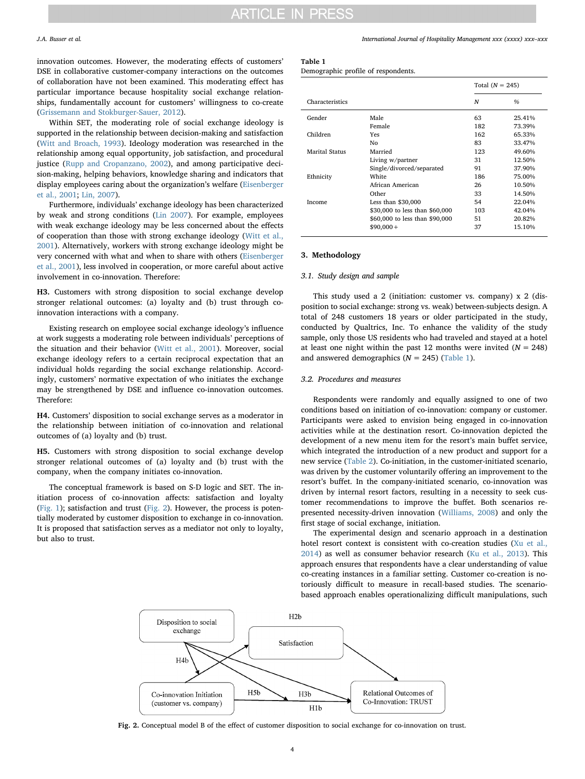innovation outcomes. However, the moderating effects of customers' DSE in collaborative customer-company interactions on the outcomes of collaboration have not been examined. This moderating effect has particular importance because hospitality social exchange relationships, fundamentally account for customers' willingness to co-create ([Grissemann and Stokburger-Sauer, 2012](#page-8-33)).

Within SET, the moderating role of social exchange ideology is supported in the relationship between decision-making and satisfaction ([Witt and Broach, 1993](#page-8-46)). Ideology moderation was researched in the relationship among equal opportunity, job satisfaction, and procedural justice ([Rupp and Cropanzano, 2002](#page-8-47)), and among participative decision-making, helping behaviors, knowledge sharing and indicators that display employees caring about the organization's welfare [\(Eisenberger](#page-8-30) [et al., 2001](#page-8-30); [Lin, 2007](#page-8-48)).

Furthermore, individuals' exchange ideology has been characterized by weak and strong conditions ([Lin 2007](#page-8-48)). For example, employees with weak exchange ideology may be less concerned about the effects of cooperation than those with strong exchange ideology ([Witt et al.,](#page-8-49) [2001\)](#page-8-49). Alternatively, workers with strong exchange ideology might be very concerned with what and when to share with others [\(Eisenberger](#page-8-30) [et al., 2001\)](#page-8-30), less involved in cooperation, or more careful about active involvement in co-innovation. Therefore:

H3. Customers with strong disposition to social exchange develop stronger relational outcomes: (a) loyalty and (b) trust through coinnovation interactions with a company.

Existing research on employee social exchange ideology's influence at work suggests a moderating role between individuals' perceptions of the situation and their behavior [\(Witt et al., 2001\)](#page-8-49). Moreover, social exchange ideology refers to a certain reciprocal expectation that an individual holds regarding the social exchange relationship. Accordingly, customers' normative expectation of who initiates the exchange may be strengthened by DSE and influence co-innovation outcomes. Therefore:

H4. Customers' disposition to social exchange serves as a moderator in the relationship between initiation of co-innovation and relational outcomes of (a) loyalty and (b) trust.

H5. Customers with strong disposition to social exchange develop stronger relational outcomes of (a) loyalty and (b) trust with the company, when the company initiates co-innovation.

The conceptual framework is based on S-D logic and SET. The initiation process of co-innovation affects: satisfaction and loyalty ([Fig. 1](#page-1-0)); satisfaction and trust ([Fig. 2](#page-3-0)). However, the process is potentially moderated by customer disposition to exchange in co-innovation. It is proposed that satisfaction serves as a mediator not only to loyalty, but also to trust.

J.A. Busser et al. *International Journal of Hospitality Management xxx (xxxx) xxx–xxx*

# <span id="page-3-1"></span>Table 1

|                 |                                | Total $(N = 245)$ |        |  |
|-----------------|--------------------------------|-------------------|--------|--|
| Characteristics |                                | N                 | $\%$   |  |
| Gender          | Male                           | 63                | 25.41% |  |
|                 | Female                         | 182               | 73.39% |  |
| Children        | Yes                            | 162               | 65.33% |  |
|                 | No                             | 83                | 33.47% |  |
| Marital Status  | Married                        | 123               | 49.60% |  |
|                 | Living w/partner               | 31                | 12.50% |  |
|                 | Single/divorced/separated      | 91                | 37.90% |  |
| Ethnicity       | <b>White</b>                   | 186               | 75.00% |  |
|                 | African American               | 26                | 10.50% |  |
|                 | Other                          | 33                | 14.50% |  |
| Income          | Less than $$30,000$            | 54                | 22.04% |  |
|                 | \$30,000 to less than \$60,000 | 103               | 42.04% |  |
|                 | \$60,000 to less than \$90,000 | 51                | 20.82% |  |
|                 | $$90,000+$                     | 37                | 15.10% |  |

# 3. Methodology

# 3.1. Study design and sample

This study used a 2 (initiation: customer vs. company) x 2 (disposition to social exchange: strong vs. weak) between-subjects design. A total of 248 customers 18 years or older participated in the study, conducted by Qualtrics, Inc. To enhance the validity of the study sample, only those US residents who had traveled and stayed at a hotel at least one night within the past 12 months were invited  $(N = 248)$ and answered demographics ( $N = 245$ ) [\(Table 1\)](#page-3-1).

# 3.2. Procedures and measures

Respondents were randomly and equally assigned to one of two conditions based on initiation of co-innovation: company or customer. Participants were asked to envision being engaged in co-innovation activities while at the destination resort. Co-innovation depicted the development of a new menu item for the resort's main buffet service, which integrated the introduction of a new product and support for a new service [\(Table 2\)](#page-4-0). Co-initiation, in the customer-initiated scenario, was driven by the customer voluntarily offering an improvement to the resort's buffet. In the company-initiated scenario, co-innovation was driven by internal resort factors, resulting in a necessity to seek customer recommendations to improve the buffet. Both scenarios represented necessity-driven innovation ([Williams, 2008](#page-8-50)) and only the first stage of social exchange, initiation.

The experimental design and scenario approach in a destination hotel resort context is consistent with co-creation studies [\(Xu et al.,](#page-8-21) [2014\)](#page-8-21) as well as consumer behavior research ([Ku et al., 2013](#page-8-51)). This approach ensures that respondents have a clear understanding of value co-creating instances in a familiar setting. Customer co-creation is notoriously difficult to measure in recall-based studies. The scenariobased approach enables operationalizing difficult manipulations, such

<span id="page-3-0"></span>

Fig. 2. Conceptual model B of the effect of customer disposition to social exchange for co-innovation on trust.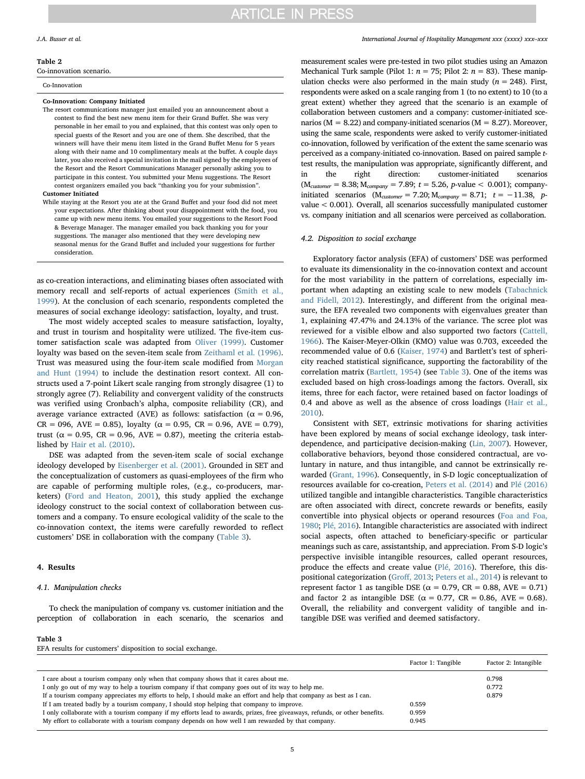#### <span id="page-4-0"></span>Table 2

Co-innovation scenario.

#### Co-Innovation

#### Co-Innovation: Company Initiated

The resort communications manager just emailed you an announcement about a contest to find the best new menu item for their Grand Buffet. She was very personable in her email to you and explained, that this contest was only open to special guests of the Resort and you are one of them. She described, that the winners will have their menu item listed in the Grand Buffet Menu for 5 years along with their name and 10 complimentary meals at the buffet. A couple days later, you also received a special invitation in the mail signed by the employees of the Resort and the Resort Communications Manager personally asking you to participate in this contest. You submitted your Menu suggestions. The Resort contest organizers emailed you back "thanking you for your submission". Customer Initiated

While staying at the Resort you ate at the Grand Buffet and your food did not meet your expectations. After thinking about your disappointment with the food, you came up with new menu items. You emailed your suggestions to the Resort Food & Beverage Manager. The manager emailed you back thanking you for your suggestions. The manager also mentioned that they were developing new seasonal menus for the Grand Buffet and included your suggestions for further consideration.

as co-creation interactions, and eliminating biases often associated with memory recall and self-reports of actual experiences ([Smith et al.,](#page-8-52) [1999\)](#page-8-52). At the conclusion of each scenario, respondents completed the measures of social exchange ideology: satisfaction, loyalty, and trust.

The most widely accepted scales to measure satisfaction, loyalty, and trust in tourism and hospitality were utilized. The five-item customer satisfaction scale was adapted from [Oliver \(1999\).](#page-8-37) Customer loyalty was based on the seven-item scale from [Zeithaml et al. \(1996\)](#page-8-36). Trust was measured using the four-item scale modified from [Morgan](#page-8-38) [and Hunt \(1994\)](#page-8-38) to include the destination resort context. All constructs used a 7-point Likert scale ranging from strongly disagree (1) to strongly agree (7). Reliability and convergent validity of the constructs was verified using Cronbach's alpha, composite reliability (CR), and average variance extracted (AVE) as follows: satisfaction ( $\alpha = 0.96$ ,  $CR = 096$ ,  $AVE = 0.85$ ), loyalty ( $\alpha = 0.95$ ,  $CR = 0.96$ ,  $AVE = 0.79$ ), trust ( $\alpha$  = 0.95, CR = 0.96, AVE = 0.87), meeting the criteria established by [Hair et al. \(2010\)](#page-8-53).

DSE was adapted from the seven-item scale of social exchange ideology developed by [Eisenberger et al. \(2001\)](#page-8-30). Grounded in SET and the conceptualization of customers as quasi-employees of the firm who are capable of performing multiple roles, (e.g., co-producers, marketers) [\(Ford and Heaton, 2001](#page-8-15)), this study applied the exchange ideology construct to the social context of collaboration between customers and a company. To ensure ecological validity of the scale to the co-innovation context, the items were carefully reworded to reflect customers' DSE in collaboration with the company ([Table 3\)](#page-4-1).

### 4. Results

# 4.1. Manipulation checks

To check the manipulation of company vs. customer initiation and the perception of collaboration in each scenario, the scenarios and

# <span id="page-4-1"></span>Table 3

| EFA results for customers' disposition to social exchange. |  |
|------------------------------------------------------------|--|
|                                                            |  |

|                                                                                                                             | Factor 1: Tangible | Factor 2: Intangible |
|-----------------------------------------------------------------------------------------------------------------------------|--------------------|----------------------|
| I care about a tourism company only when that company shows that it cares about me.                                         |                    | 0.798                |
| I only go out of my way to help a tourism company if that company goes out of its way to help me.                           |                    | 0.772                |
| If a tourism company appreciates my efforts to help, I should make an effort and help that company as best as I can.        |                    | 0.879                |
| If I am treated badly by a tourism company, I should stop helping that company to improve.                                  | 0.559              |                      |
| I only collaborate with a tourism company if my efforts lead to awards, prizes, free giveaways, refunds, or other benefits. | 0.959              |                      |
| My effort to collaborate with a tourism company depends on how well I am rewarded by that company.                          | 0.945              |                      |

measurement scales were pre-tested in two pilot studies using an Amazon Mechanical Turk sample (Pilot 1:  $n = 75$ ; Pilot 2:  $n = 83$ ). These manipulation checks were also performed in the main study ( $n = 248$ ). First, respondents were asked on a scale ranging from 1 (to no extent) to 10 (to a great extent) whether they agreed that the scenario is an example of collaboration between customers and a company: customer-initiated scenarios ( $M = 8.22$ ) and company-initiated scenarios ( $M = 8.27$ ). Moreover, using the same scale, respondents were asked to verify customer-initiated co-innovation, followed by verification of the extent the same scenario was perceived as a company-initiated co-innovation. Based on paired sample ttest results, the manipulation was appropriate, significantly different, and in the right direction: customer-initiated scenarios  $(M_{\text{customer}} = 8.38; M_{\text{company}} = 7.89; t = 5.26, p \text{-value} < 0.001);$  companyinitiated scenarios ( $M_{\text{customer}}$  = 7.20;  $M_{\text{company}}$  = 8.71; t = −11.38, pvalue < 0.001). Overall, all scenarios successfully manipulated customer vs. company initiation and all scenarios were perceived as collaboration.

# 4.2. Disposition to social exchange

Exploratory factor analysis (EFA) of customers' DSE was performed to evaluate its dimensionality in the co-innovation context and account for the most variability in the pattern of correlations, especially important when adapting an existing scale to new models [\(Tabachnick](#page-8-54) [and Fidell, 2012](#page-8-54)). Interestingly, and different from the original measure, the EFA revealed two components with eigenvalues greater than 1, explaining 47.47% and 24.13% of the variance. The scree plot was reviewed for a visible elbow and also supported two factors [\(Cattell,](#page-7-6) [1966\)](#page-7-6). The Kaiser-Meyer-Olkin (KMO) value was 0.703, exceeded the recommended value of 0.6 ([Kaiser, 1974\)](#page-8-55) and Bartlett's test of sphericity reached statistical significance, supporting the factorability of the correlation matrix ([Bartlett, 1954\)](#page-7-7) (see [Table 3\)](#page-4-1). One of the items was excluded based on high cross-loadings among the factors. Overall, six items, three for each factor, were retained based on factor loadings of 0.4 and above as well as the absence of cross loadings [\(Hair et al.,](#page-8-53) [2010\)](#page-8-53).

Consistent with SET, extrinsic motivations for sharing activities have been explored by means of social exchange ideology, task interdependence, and participative decision-making [\(Lin, 2007\)](#page-8-48). However, collaborative behaviors, beyond those considered contractual, are voluntary in nature, and thus intangible, and cannot be extrinsically rewarded ([Grant, 1996](#page-8-56)). Consequently, in S-D logic conceptualization of resources available for co-creation, [Peters et al. \(2014\)](#page-8-57) and [Plé \(2016\)](#page-8-12) utilized tangible and intangible characteristics. Tangible characteristics are often associated with direct, concrete rewards or benefits, easily convertible into physical objects or operand resources [\(Foa and Foa,](#page-8-58) [1980;](#page-8-58) [Plé, 2016](#page-8-12)). Intangible characteristics are associated with indirect social aspects, often attached to beneficiary-specific or particular meanings such as care, assistantship, and appreciation. From S-D logic's perspective invisible intangible resources, called operant resources, produce the effects and create value ([Plé, 2016](#page-8-12)). Therefore, this dispositional categorization (Groff[, 2013](#page-8-59); [Peters et al., 2014\)](#page-8-57) is relevant to represent factor 1 as tangible DSE ( $\alpha = 0.79$ , CR = 0.88, AVE = 0.71) and factor 2 as intangible DSE ( $\alpha = 0.77$ , CR = 0.86, AVE = 0.68). Overall, the reliability and convergent validity of tangible and intangible DSE was verified and deemed satisfactory.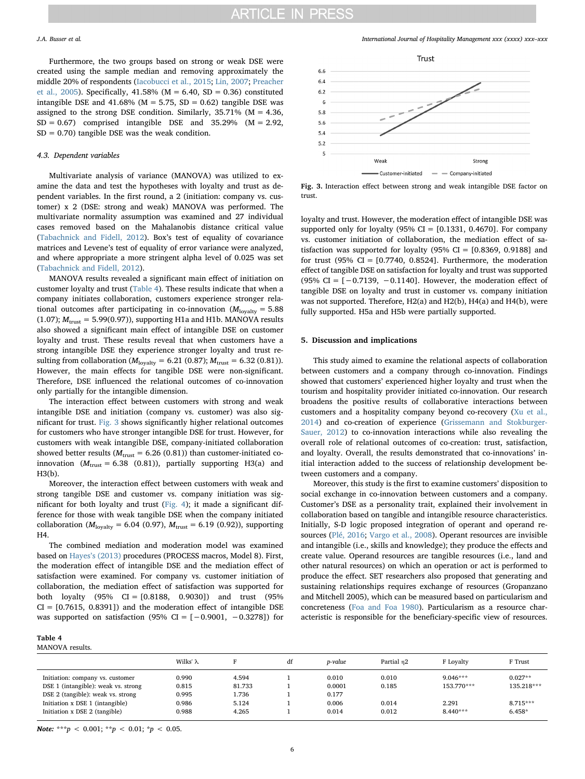Furthermore, the two groups based on strong or weak DSE were created using the sample median and removing approximately the middle 20% of respondents [\(Iacobucci et al., 2015](#page-8-60); [Lin, 2007](#page-8-48); [Preacher](#page-8-61) [et al., 2005\)](#page-8-61). Specifically, 41.58% (M = 6.40, SD = 0.36) constituted intangible DSE and 41.68% ( $M = 5.75$ , SD = 0.62) tangible DSE was assigned to the strong DSE condition. Similarly, 35.71% (M = 4.36,  $SD = 0.67$ ) comprised intangible DSE and 35.29% (M = 2.92,  $SD = 0.70$ ) tangible DSE was the weak condition.

# 4.3. Dependent variables

Multivariate analysis of variance (MANOVA) was utilized to examine the data and test the hypotheses with loyalty and trust as dependent variables. In the first round, a 2 (initiation: company vs. customer) x 2 (DSE: strong and weak) MANOVA was performed. The multivariate normality assumption was examined and 27 individual cases removed based on the Mahalanobis distance critical value ([Tabachnick and Fidell, 2012\)](#page-8-54). Box's test of equality of covariance matrices and Levene's test of equality of error variance were analyzed, and where appropriate a more stringent alpha level of 0.025 was set ([Tabachnick and Fidell, 2012](#page-8-54)).

MANOVA results revealed a significant main effect of initiation on customer loyalty and trust [\(Table 4](#page-5-0)). These results indicate that when a company initiates collaboration, customers experience stronger relational outcomes after participating in co-innovation  $(M_{\text{logalty}} = 5.88$ (1.07);  $M<sub>trust</sub> = 5.99(0.97)$ , supporting H1a and H1b. MANOVA results also showed a significant main effect of intangible DSE on customer loyalty and trust. These results reveal that when customers have a strong intangible DSE they experience stronger loyalty and trust resulting from collaboration ( $M_{\text{loyalty}} = 6.21$  (0.87);  $M_{\text{trust}} = 6.32$  (0.81)). However, the main effects for tangible DSE were non-significant. Therefore, DSE influenced the relational outcomes of co-innovation only partially for the intangible dimension.

The interaction effect between customers with strong and weak intangible DSE and initiation (company vs. customer) was also significant for trust. [Fig. 3](#page-5-1) shows significantly higher relational outcomes for customers who have stronger intangible DSE for trust. However, for customers with weak intangible DSE, company-initiated collaboration showed better results ( $M<sub>trust</sub> = 6.26 (0.81)$ ) than customer-initiated coinnovation ( $M<sub>trust</sub> = 6.38$  (0.81)), partially supporting H3(a) and H3(b).

Moreover, the interaction effect between customers with weak and strong tangible DSE and customer vs. company initiation was significant for both loyalty and trust ([Fig. 4](#page-6-0)); it made a significant difference for those with weak tangible DSE when the company initiated collaboration ( $M_{\text{logalty}} = 6.04$  (0.97),  $M_{\text{trust}} = 6.19$  (0.92)), supporting H4.

The combined mediation and moderation model was examined based on Hayes'[s \(2013\)](#page-8-62) procedures (PROCESS macros, Model 8). First, the moderation effect of intangible DSE and the mediation effect of satisfaction were examined. For company vs. customer initiation of collaboration, the mediation effect of satisfaction was supported for both loyalty (95% CI = [0.8188, 0.9030]) and trust (95%  $CI = [0.7615, 0.8391])$  and the moderation effect of intangible DSE was supported on satisfaction (95% CI =  $[-0.9001, -0.3278]$ ) for

# <span id="page-5-0"></span>Table 4 MANOVA results.

| Initiation: company vs. customer    | 0.990 | 4.594  | 0.010  | 0.010 | $9.046***$ | $0.027**$  |
|-------------------------------------|-------|--------|--------|-------|------------|------------|
| DSE 1 (intangible): weak vs. strong | 0.815 | 81.733 | 0.0001 | 0.185 | 153.770*** | 135.218*** |
| DSE 2 (tangible): weak vs. strong   | 0.995 | . 736  | 0.177  |       |            |            |
| Initiation x DSE 1 (intangible)     | 0.986 | 5.124  | 0.006  | 0.014 | 2.291      | 8.715***   |
| Initiation x DSE 2 (tangible)       | 0.988 | 4.265  | 0.014  | 0.012 | $8.440***$ | $6.458*$   |
|                                     |       |        |        |       |            |            |

Wilks' λ F frust df *p-value* Partial η2 F Loyalty F Trust

Note: \*\*\* $p < 0.001$ ; \*\* $p < 0.01$ ; \* $p < 0.05$ .

J.A. Busser et al. *International Journal of Hospitality Management xxx (xxxx) xxx–xxx*

<span id="page-5-1"></span>

Fig. 3. Interaction effect between strong and weak intangible DSE factor on trust.

loyalty and trust. However, the moderation effect of intangible DSE was supported only for loyalty (95% CI =  $[0.1331, 0.4670]$ . For company vs. customer initiation of collaboration, the mediation effect of satisfaction was supported for loyalty (95%  $CI = [0.8369, 0.9188]$  and for trust (95%  $CI = [0.7740, 0.8524]$ . Furthermore, the moderation effect of tangible DSE on satisfaction for loyalty and trust was supported (95% CI =  $[-0.7139, -0.1140]$ . However, the moderation effect of tangible DSE on loyalty and trust in customer vs. company initiation was not supported. Therefore, H2(a) and H2(b), H4(a) and H4(b), were fully supported. H5a and H5b were partially supported.

#### 5. Discussion and implications

This study aimed to examine the relational aspects of collaboration between customers and a company through co-innovation. Findings showed that customers' experienced higher loyalty and trust when the tourism and hospitality provider initiated co-innovation. Our research broadens the positive results of collaborative interactions between customers and a hospitality company beyond co-recovery ([Xu et al.,](#page-8-21) [2014\)](#page-8-21) and co-creation of experience [\(Grissemann and Stokburger-](#page-8-33)[Sauer, 2012\)](#page-8-33) to co-innovation interactions while also revealing the overall role of relational outcomes of co-creation: trust, satisfaction, and loyalty. Overall, the results demonstrated that co-innovations' initial interaction added to the success of relationship development between customers and a company.

Moreover, this study is the first to examine customers' disposition to social exchange in co-innovation between customers and a company. Customer's DSE as a personality trait, explained their involvement in collaboration based on tangible and intangible resource characteristics. Initially, S-D logic proposed integration of operant and operand resources ([Plé, 2016;](#page-8-12) [Vargo et al., 2008](#page-8-63)). Operant resources are invisible and intangible (i.e., skills and knowledge); they produce the effects and create value. Operand resources are tangible resources (i.e., land and other natural resources) on which an operation or act is performed to produce the effect. SET researchers also proposed that generating and sustaining relationships requires exchange of resources (Gropanzano and Mitchell 2005), which can be measured based on particularism and concreteness [\(Foa and Foa 1980\)](#page-8-58). Particularism as a resource characteristic is responsible for the beneficiary-specific view of resources.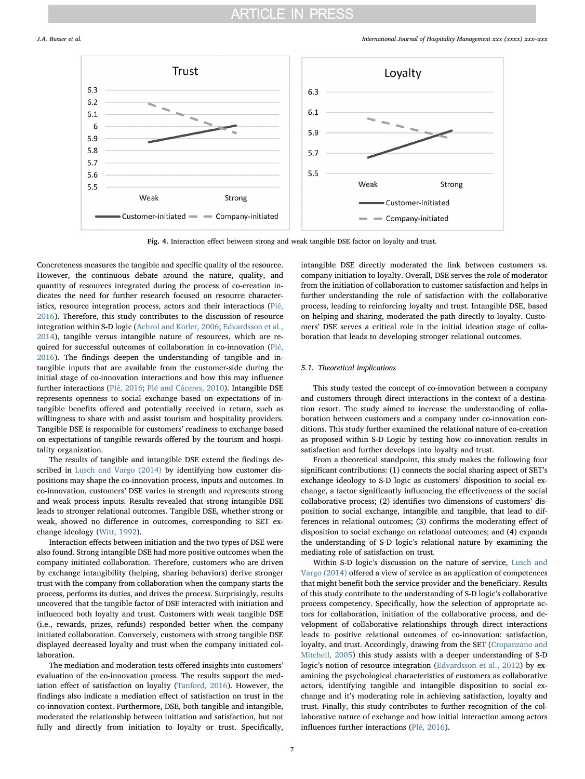<span id="page-6-0"></span>

Fig. 4. Interaction effect between strong and weak tangible DSE factor on loyalty and trust.

Concreteness measures the tangible and specific quality of the resource. However, the continuous debate around the nature, quality, and quantity of resources integrated during the process of co-creation indicates the need for further research focused on resource characteristics, resource integration process, actors and their interactions ([Plé,](#page-8-12) [2016\)](#page-8-12). Therefore, this study contributes to the discussion of resource integration within S-D logic [\(Achrol and Kotler, 2006](#page-7-8); [Edvardsson et al.,](#page-8-64) [2014\)](#page-8-64), tangible versus intangible nature of resources, which are required for successful outcomes of collaboration in co-innovation ([Plé,](#page-8-12) [2016\)](#page-8-12). The findings deepen the understanding of tangible and intangible inputs that are available from the customer-side during the initial stage of co-innovation interactions and how this may influence further interactions ([Plé, 2016](#page-8-12); [Plé and Cáceres, 2010](#page-8-65)). Intangible DSE represents openness to social exchange based on expectations of intangible benefits offered and potentially received in return, such as willingness to share with and assist tourism and hospitality providers. Tangible DSE is responsible for customers' readiness to exchange based on expectations of tangible rewards offered by the tourism and hospitality organization.

The results of tangible and intangible DSE extend the findings described in [Lusch and Vargo \(2014\)](#page-8-13) by identifying how customer dispositions may shape the co-innovation process, inputs and outcomes. In co-innovation, customers' DSE varies in strength and represents strong and weak process inputs. Results revealed that strong intangible DSE leads to stronger relational outcomes. Tangible DSE, whether strong or weak, showed no difference in outcomes, corresponding to SET exchange ideology [\(Witt, 1992](#page-8-29)).

Interaction effects between initiation and the two types of DSE were also found. Strong intangible DSE had more positive outcomes when the company initiated collaboration. Therefore, customers who are driven by exchange intangibility (helping, sharing behaviors) derive stronger trust with the company from collaboration when the company starts the process, performs its duties, and drives the process. Surprisingly, results uncovered that the tangible factor of DSE interacted with initiation and influenced both loyalty and trust. Customers with weak tangible DSE (i.e., rewards, prizes, refunds) responded better when the company initiated collaboration. Conversely, customers with strong tangible DSE displayed decreased loyalty and trust when the company initiated collaboration.

The mediation and moderation tests offered insights into customers' evaluation of the co-innovation process. The results support the mediation effect of satisfaction on loyalty [\(Tanford, 2016\)](#page-8-32). However, the findings also indicate a mediation effect of satisfaction on trust in the co-innovation context. Furthermore, DSE, both tangible and intangible, moderated the relationship between initiation and satisfaction, but not fully and directly from initiation to loyalty or trust. Specifically,

intangible DSE directly moderated the link between customers vs. company initiation to loyalty. Overall, DSE serves the role of moderator from the initiation of collaboration to customer satisfaction and helps in further understanding the role of satisfaction with the collaborative process, leading to reinforcing loyalty and trust. Intangible DSE, based on helping and sharing, moderated the path directly to loyalty. Customers' DSE serves a critical role in the initial ideation stage of collaboration that leads to developing stronger relational outcomes.

### 5.1. Theoretical implications

This study tested the concept of co-innovation between a company and customers through direct interactions in the context of a destination resort. The study aimed to increase the understanding of collaboration between customers and a company under co-innovation conditions. This study further examined the relational nature of co-creation as proposed within S-D Logic by testing how co-innovation results in satisfaction and further develops into loyalty and trust.

From a theoretical standpoint, this study makes the following four significant contributions: (1) connects the social sharing aspect of SET's exchange ideology to S-D logic as customers' disposition to social exchange, a factor significantly influencing the effectiveness of the social collaborative process; (2) identifies two dimensions of customers' disposition to social exchange, intangible and tangible, that lead to differences in relational outcomes; (3) confirms the moderating effect of disposition to social exchange on relational outcomes; and (4) expands the understanding of S-D logic's relational nature by examining the mediating role of satisfaction on trust.

Within S-D logic's discussion on the nature of service, [Lusch and](#page-8-13) [Vargo \(2014\)](#page-8-13) offered a view of service as an application of competences that might benefit both the service provider and the beneficiary. Results of this study contribute to the understanding of S-D logic's collaborative process competency. Specifically, how the selection of appropriate actors for collaboration, initiation of the collaborative process, and development of collaborative relationships through direct interactions leads to positive relational outcomes of co-innovation: satisfaction, loyalty, and trust. Accordingly, drawing from the SET [\(Cropanzano and](#page-8-22) [Mitchell, 2005\)](#page-8-22) this study assists with a deeper understanding of S-D logic's notion of resource integration [\(Edvardsson et al., 2012\)](#page-8-66) by examining the psychological characteristics of customers as collaborative actors, identifying tangible and intangible disposition to social exchange and it's moderating role in achieving satisfaction, loyalty and trust. Finally, this study contributes to further recognition of the collaborative nature of exchange and how initial interaction among actors influences further interactions [\(Plé, 2016](#page-8-12)).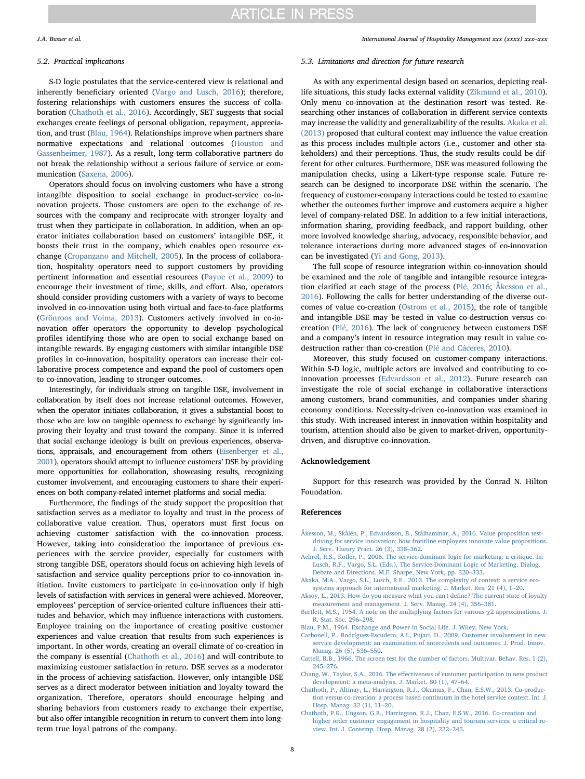### 5.2. Practical implications

S-D logic postulates that the service-centered view is relational and inherently beneficiary oriented ([Vargo and Lusch, 2016\)](#page-8-4); therefore, fostering relationships with customers ensures the success of collaboration [\(Chathoth et al., 2016\)](#page-7-3). Accordingly, SET suggests that social exchanges create feelings of personal obligation, repayment, appreciation, and trust [\(Blau, 1964\)](#page-7-9). Relationships improve when partners share normative expectations and relational outcomes ([Houston and](#page-8-67) [Gassenheimer, 1987\)](#page-8-67). As a result, long-term collaborative partners do not break the relationship without a serious failure of service or communication [\(Saxena, 2006\)](#page-8-68).

Operators should focus on involving customers who have a strong intangible disposition to social exchange in product-service co-innovation projects. Those customers are open to the exchange of resources with the company and reciprocate with stronger loyalty and trust when they participate in collaboration. In addition, when an operator initiates collaboration based on customers' intangible DSE, it boosts their trust in the company, which enables open resource exchange ([Cropanzano and Mitchell, 2005\)](#page-8-22). In the process of collaboration, hospitality operators need to support customers by providing pertinent information and essential resources [\(Payne et al., 2009](#page-8-11)) to encourage their investment of time, skills, and effort. Also, operators should consider providing customers with a variety of ways to become involved in co-innovation using both virtual and face-to-face platforms ([Grönroos and Voima, 2013](#page-8-69)). Customers actively involved in co-innovation offer operators the opportunity to develop psychological profiles identifying those who are open to social exchange based on intangible rewards. By engaging customers with similar intangible DSE profiles in co-innovation, hospitality operators can increase their collaborative process competence and expand the pool of customers open to co-innovation, leading to stronger outcomes.

Interestingly, for individuals strong on tangible DSE, involvement in collaboration by itself does not increase relational outcomes. However, when the operator initiates collaboration, it gives a substantial boost to those who are low on tangible openness to exchange by significantly improving their loyalty and trust toward the company. Since it is inferred that social exchange ideology is built on previous experiences, observations, appraisals, and encouragement from others [\(Eisenberger et al.,](#page-8-30) [2001\)](#page-8-30), operators should attempt to influence customers' DSE by providing more opportunities for collaboration, showcasing results, recognizing customer involvement, and encouraging customers to share their experiences on both company-related internet platforms and social media.

Furthermore, the findings of the study support the proposition that satisfaction serves as a mediator to loyalty and trust in the process of collaborative value creation. Thus, operators must first focus on achieving customer satisfaction with the co-innovation process. However, taking into consideration the importance of previous experiences with the service provider, especially for customers with strong tangible DSE, operators should focus on achieving high levels of satisfaction and service quality perceptions prior to co-innovation initiation. Invite customers to participate in co-innovation only if high levels of satisfaction with services in general were achieved. Moreover, employees' perception of service-oriented culture influences their attitudes and behavior, which may influence interactions with customers. Employee training on the importance of creating positive customer experiences and value creation that results from such experiences is important. In other words, creating an overall climate of co-creation in the company is essential ([Chathoth et al., 2016\)](#page-7-3) and will contribute to maximizing customer satisfaction in return. DSE serves as a moderator in the process of achieving satisfaction. However, only intangible DSE serves as a direct moderator between initiation and loyalty toward the organization. Therefore, operators should encourage helping and sharing behaviors from customers ready to exchange their expertise, but also offer intangible recognition in return to convert them into longterm true loyal patrons of the company.

### 5.3. Limitations and direction for future research

As with any experimental design based on scenarios, depicting reallife situations, this study lacks external validity [\(Zikmund et al., 2010](#page-8-70)). Only menu co-innovation at the destination resort was tested. Researching other instances of collaboration in different service contexts may increase the validity and generalizability of the results. [Akaka et al.](#page-7-10) [\(2013\)](#page-7-10) proposed that cultural context may influence the value creation as this process includes multiple actors (i.e., customer and other stakeholders) and their perceptions. Thus, the study results could be different for other cultures. Furthermore, DSE was measured following the manipulation checks, using a Likert-type response scale. Future research can be designed to incorporate DSE within the scenario. The frequency of customer-company interactions could be tested to examine whether the outcomes further improve and customers acquire a higher level of company-related DSE. In addition to a few initial interactions, information sharing, providing feedback, and rapport building, other more involved knowledge sharing, advocacy, responsible behavior, and tolerance interactions during more advanced stages of co-innovation can be investigated ([Yi and Gong, 2013](#page-8-24)).

The full scope of resource integration within co-innovation should be examined and the role of tangible and intangible resource integration clarified at each stage of the process ([Plé, 2016](#page-8-12); [Åkesson et al.,](#page-7-1) [2016\)](#page-7-1). Following the calls for better understanding of the diverse outcomes of value co-creation [\(Ostrom et al., 2015\)](#page-8-71), the role of tangible and intangible DSE may be tested in value co-destruction versus cocreation ([Plé, 2016\)](#page-8-12). The lack of congruency between customers DSE and a company's intent in resource integration may result in value codestruction rather than co-creation ([Plé and Cáceres, 2010\)](#page-8-65).

Moreover, this study focused on customer-company interactions. Within S-D logic, multiple actors are involved and contributing to coinnovation processes [\(Edvardsson et al., 2012\)](#page-8-66). Future research can investigate the role of social exchange in collaborative interactions among customers, brand communities, and companies under sharing economy conditions. Necessity-driven co-innovation was examined in this study. With increased interest in innovation within hospitality and tourism, attention should also be given to market-driven, opportunitydriven, and disruptive co-innovation.

# Acknowledgement

Support for this research was provided by the Conrad N. Hilton Foundation.

# References

- <span id="page-7-1"></span>[Åkesson, M., Skålén, P., Edvardsson, B., Stålhammar, A., 2016. Value proposition test](http://refhub.elsevier.com/S0278-4319(17)30442-5/sbref0005)[driving for service innovation: how frontline employees innovate value propositions.](http://refhub.elsevier.com/S0278-4319(17)30442-5/sbref0005) [J. Serv. Theory Pract. 26 \(3\), 338](http://refhub.elsevier.com/S0278-4319(17)30442-5/sbref0005)–362.
- <span id="page-7-8"></span>[Achrol, R.S., Kotler, P., 2006. The service-dominant logic for marketing: a critique. In:](http://refhub.elsevier.com/S0278-4319(17)30442-5/sbref0010) [Lusch, R.F., Vargo, S.L. \(Eds.\), The Service-Dominant Logic of Marketing. Dialog,](http://refhub.elsevier.com/S0278-4319(17)30442-5/sbref0010) [Debate and Directions. M.E. Sharpe, New York, pp. 320](http://refhub.elsevier.com/S0278-4319(17)30442-5/sbref0010)–333.
- <span id="page-7-10"></span>[Akaka, M.A., Vargo, S.L., Lusch, R.F., 2013. The complexity of context: a service eco](http://refhub.elsevier.com/S0278-4319(17)30442-5/sbref0015)[systems approach for international marketing. J. Market. Res. 21 \(4\), 1](http://refhub.elsevier.com/S0278-4319(17)30442-5/sbref0015)–20.
- <span id="page-7-5"></span>[Aksoy, L., 2013. How do you measure what you can't de](http://refhub.elsevier.com/S0278-4319(17)30442-5/sbref0020)fine? The current state of loyalty [measurement and management. J. Serv. Manag. 24 \(4\), 356](http://refhub.elsevier.com/S0278-4319(17)30442-5/sbref0020)–381.
- <span id="page-7-7"></span>[Bartlett, M.S., 1954. A note on the multiplying factors for various](http://refhub.elsevier.com/S0278-4319(17)30442-5/sbref0025)  $\chi$ 2 approximations. J. [R. Stat. Soc. 296](http://refhub.elsevier.com/S0278-4319(17)30442-5/sbref0025)–298.
- <span id="page-7-9"></span>[Blau, P.M., 1964. Exchange and Power in Social Life. J. Wiley, New York](http://refhub.elsevier.com/S0278-4319(17)30442-5/sbref0030).
- <span id="page-7-2"></span>Carbonell, P., Rodríguez‐[Escudero, A.I., Pujari, D., 2009. Customer involvement in new](http://refhub.elsevier.com/S0278-4319(17)30442-5/sbref0035) [service development: an examination of antecedents and outcomes. J. Prod. Innov.](http://refhub.elsevier.com/S0278-4319(17)30442-5/sbref0035) [Manag. 26 \(5\), 536](http://refhub.elsevier.com/S0278-4319(17)30442-5/sbref0035)–550.
- <span id="page-7-6"></span>[Cattell, R.B., 1966. The screen test for the number of factors. Multivar. Behav. Res. 1 \(2\),](http://refhub.elsevier.com/S0278-4319(17)30442-5/sbref0040) 245–[276](http://refhub.elsevier.com/S0278-4319(17)30442-5/sbref0040).
- <span id="page-7-0"></span>Chang, W., Taylor, S.A., 2016. The eff[ectiveness of customer participation in new product](http://refhub.elsevier.com/S0278-4319(17)30442-5/sbref0045) [development: a meta-analysis. J. Market. 80 \(1\), 47](http://refhub.elsevier.com/S0278-4319(17)30442-5/sbref0045)–64.
- <span id="page-7-4"></span>[Chathoth, P., Altinay, L., Harrington, R.J., Okumus, F., Chan, E.S.W., 2013. Co-produc](http://refhub.elsevier.com/S0278-4319(17)30442-5/sbref0050)[tion versus co-creation: a process based continuum in the hotel service context. Int. J.](http://refhub.elsevier.com/S0278-4319(17)30442-5/sbref0050) [Hosp. Manag. 32 \(1\), 11](http://refhub.elsevier.com/S0278-4319(17)30442-5/sbref0050)–20.
- <span id="page-7-3"></span>[Chathoth, P.K., Ungson, G.R., Harrington, R.J., Chan, E.S.W., 2016. Co-creation and](http://refhub.elsevier.com/S0278-4319(17)30442-5/sbref0055) [higher order customer engagement in hospitality and tourism services: a critical re](http://refhub.elsevier.com/S0278-4319(17)30442-5/sbref0055)[view. Int. J. Contemp. Hosp. Manag. 28 \(2\), 222](http://refhub.elsevier.com/S0278-4319(17)30442-5/sbref0055)–245.